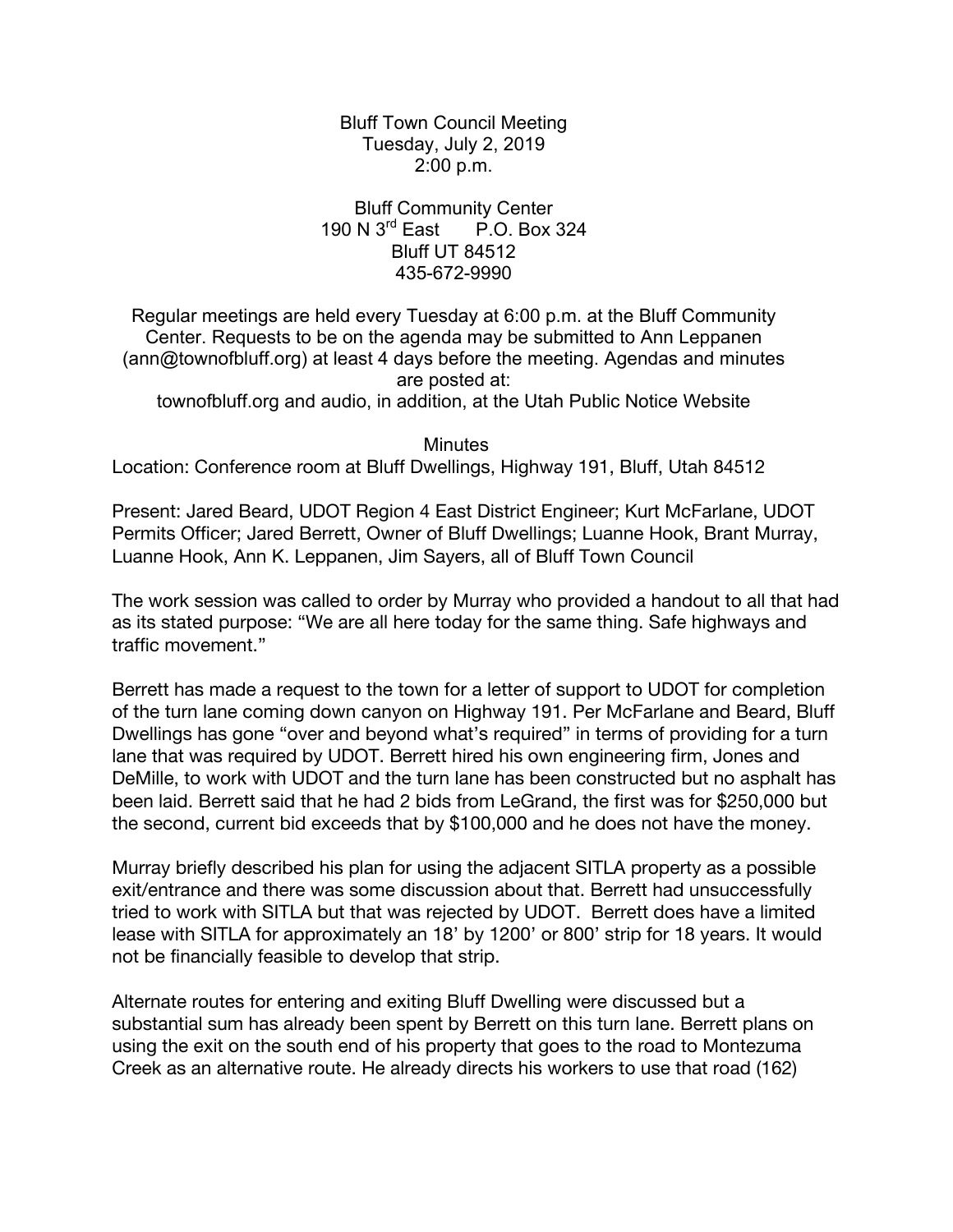Bluff Town Council Meeting Tuesday, July 2, 2019 2:00 p.m.

Bluff Community Center 190 N 3rd East P.O. Box 324 Bluff UT 84512 435-672-9990

Regular meetings are held every Tuesday at 6:00 p.m. at the Bluff Community Center. Requests to be on the agenda may be submitted to Ann Leppanen (ann@townofbluff.org) at least 4 days before the meeting. Agendas and minutes are posted at:

townofbluff.org and audio, in addition, at the Utah Public Notice Website

**Minutes** 

Location: Conference room at Bluff Dwellings, Highway 191, Bluff, Utah 84512

Present: Jared Beard, UDOT Region 4 East District Engineer; Kurt McFarlane, UDOT Permits Officer; Jared Berrett, Owner of Bluff Dwellings; Luanne Hook, Brant Murray, Luanne Hook, Ann K. Leppanen, Jim Sayers, all of Bluff Town Council

The work session was called to order by Murray who provided a handout to all that had as its stated purpose: "We are all here today for the same thing. Safe highways and traffic movement."

Berrett has made a request to the town for a letter of support to UDOT for completion of the turn lane coming down canyon on Highway 191. Per McFarlane and Beard, Bluff Dwellings has gone "over and beyond what's required" in terms of providing for a turn lane that was required by UDOT. Berrett hired his own engineering firm, Jones and DeMille, to work with UDOT and the turn lane has been constructed but no asphalt has been laid. Berrett said that he had 2 bids from LeGrand, the first was for \$250,000 but the second, current bid exceeds that by \$100,000 and he does not have the money.

Murray briefly described his plan for using the adjacent SITLA property as a possible exit/entrance and there was some discussion about that. Berrett had unsuccessfully tried to work with SITLA but that was rejected by UDOT. Berrett does have a limited lease with SITLA for approximately an 18' by 1200' or 800' strip for 18 years. It would not be financially feasible to develop that strip.

Alternate routes for entering and exiting Bluff Dwelling were discussed but a substantial sum has already been spent by Berrett on this turn lane. Berrett plans on using the exit on the south end of his property that goes to the road to Montezuma Creek as an alternative route. He already directs his workers to use that road (162)